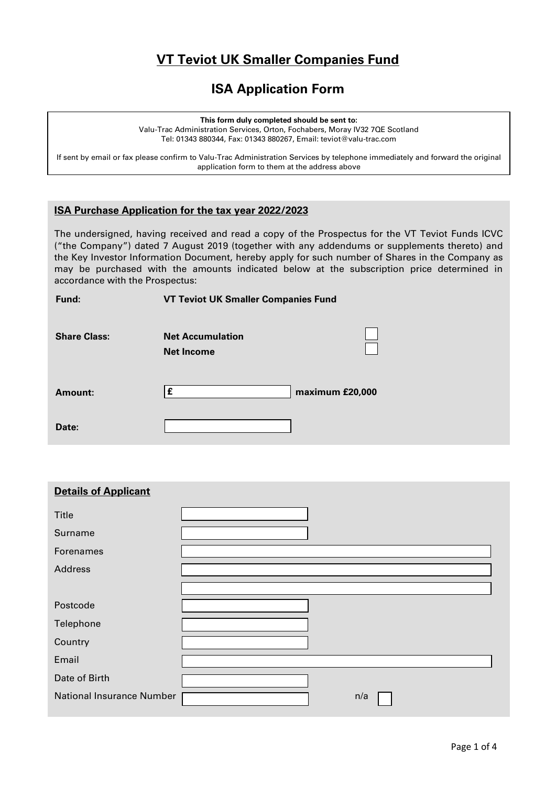# **VT Teviot UK Smaller Companies Fund**

## **ISA Application Form**

**This form duly completed should be sent to:**

Valu-Trac Administration Services, Orton, Fochabers, Moray IV32 7QE Scotland Tel: 01343 880344, Fax: 01343 880267, Email: teviot@valu-trac.com

If sent by email or fax please confirm to Valu-Trac Administration Services by telephone immediately and forward the original application form to them at the address above

## **ISA Purchase Application for the tax year 2022/2023**

The undersigned, having received and read a copy of the Prospectus for the VT Teviot Funds ICVC ("the Company") dated 7 August 2019 (together with any addendums or supplements thereto) and the Key Investor Information Document, hereby apply for such number of Shares in the Company as may be purchased with the amounts indicated below at the subscription price determined in accordance with the Prospectus:

| Fund: |  |
|-------|--|
|       |  |

**Fund: VT Teviot UK Smaller Companies Fund**

| <b>Share Class:</b> | <b>Net Accumulation</b><br><b>Net Income</b> |                 |
|---------------------|----------------------------------------------|-----------------|
| Amount:             |                                              | maximum £20,000 |
| Date:               |                                              |                 |

| <b>Details of Applicant</b>      |     |
|----------------------------------|-----|
| Title                            |     |
| Surname                          |     |
| Forenames                        |     |
| Address                          |     |
|                                  |     |
| Postcode                         |     |
| Telephone                        |     |
| Country                          |     |
| Email                            |     |
| Date of Birth                    |     |
| <b>National Insurance Number</b> | n/a |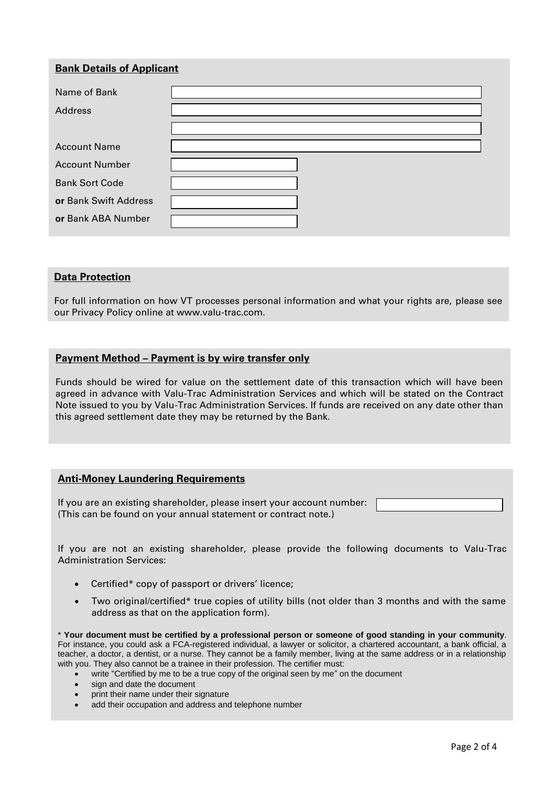## **Bank Details of Applicant**

| Name of Bank          |  |
|-----------------------|--|
| Address               |  |
|                       |  |
| <b>Account Name</b>   |  |
| <b>Account Number</b> |  |
| <b>Bank Sort Code</b> |  |
| or Bank Swift Address |  |
| or Bank ABA Number    |  |

#### **Data Protection**

For full information on how VT processes personal information and what your rights are, please see our Privacy Policy online at www.valu-trac.com.

#### **Payment Method – Payment is by wire transfer only**

Funds should be wired for value on the settlement date of this transaction which will have been agreed in advance with Valu-Trac Administration Services and which will be stated on the Contract Note issued to you by Valu-Trac Administration Services. If funds are received on any date other than this agreed settlement date they may be returned by the Bank.

#### **Anti-Money Laundering Requirements**

If you are an existing shareholder, please insert your account number: (This can be found on your annual statement or contract note.)

If you are not an existing shareholder, please provide the following documents to Valu-Trac Administration Services:

- Certified\* copy of passport or drivers' licence;
- Two original/certified\* true copies of utility bills (not older than 3 months and with the same address as that on the application form).

\* **Your document must be certified by a professional person or someone of good standing in your community**. For instance, you could ask a FCA-registered individual, a lawyer or solicitor, a chartered accountant, a bank official, a teacher, a doctor, a dentist, or a nurse. They cannot be a family member, living at the same address or in a relationship with you. They also cannot be a trainee in their profession. The certifier must:

- write "Certified by me to be a true copy of the original seen by me" on the document
- sign and date the document
- print their name under their signature
- add their occupation and address and telephone number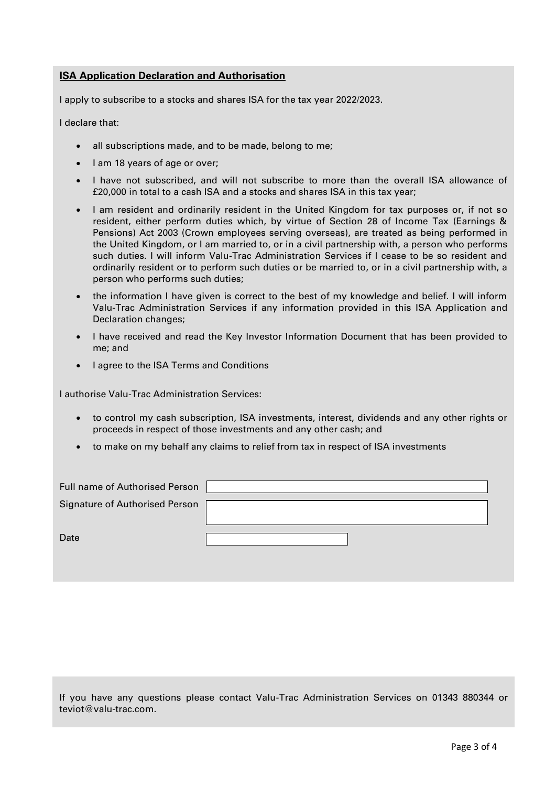## **ISA Application Declaration and Authorisation**

I apply to subscribe to a stocks and shares ISA for the tax year 2022/2023.

I declare that:

- all subscriptions made, and to be made, belong to me;
- I am 18 years of age or over;
- I have not subscribed, and will not subscribe to more than the overall ISA allowance of £20,000 in total to a cash ISA and a stocks and shares ISA in this tax year;
- I am resident and ordinarily resident in the United Kingdom for tax purposes or, if not so resident, either perform duties which, by virtue of Section 28 of Income Tax (Earnings & Pensions) Act 2003 (Crown employees serving overseas), are treated as being performed in the United Kingdom, or I am married to, or in a civil partnership with, a person who performs such duties. I will inform Valu-Trac Administration Services if I cease to be so resident and ordinarily resident or to perform such duties or be married to, or in a civil partnership with, a person who performs such duties;
- the information I have given is correct to the best of my knowledge and belief. I will inform Valu-Trac Administration Services if any information provided in this ISA Application and Declaration changes;
- I have received and read the Key Investor Information Document that has been provided to me; and
- I agree to the ISA Terms and Conditions

I authorise Valu-Trac Administration Services:

- to control my cash subscription, ISA investments, interest, dividends and any other rights or proceeds in respect of those investments and any other cash; and
- to make on my behalf any claims to relief from tax in respect of ISA investments

| Full name of Authorised Person |  |
|--------------------------------|--|
| Signature of Authorised Person |  |
|                                |  |
| Date                           |  |
|                                |  |

If you have any questions please contact Valu-Trac Administration Services on 01343 880344 or teviot@valu-trac.com.